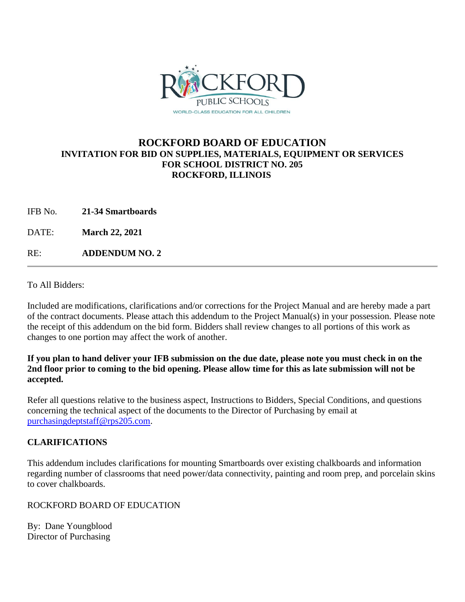

## **ROCKFORD BOARD OF EDUCATION INVITATION FOR BID ON SUPPLIES, MATERIALS, EQUIPMENT OR SERVICES FOR SCHOOL DISTRICT NO. 205 ROCKFORD, ILLINOIS**

IFB No. **21-34 Smartboards**

DATE: **March 22, 2021**

RE: **ADDENDUM NO. 2**

To All Bidders:

Included are modifications, clarifications and/or corrections for the Project Manual and are hereby made a part of the contract documents. Please attach this addendum to the Project Manual(s) in your possession. Please note the receipt of this addendum on the bid form. Bidders shall review changes to all portions of this work as changes to one portion may affect the work of another.

### **If you plan to hand deliver your IFB submission on the due date, please note you must check in on the 2nd floor prior to coming to the bid opening. Please allow time for this as late submission will not be accepted.**

Refer all questions relative to the business aspect, Instructions to Bidders, Special Conditions, and questions concerning the technical aspect of the documents to the Director of Purchasing by email at [purchasingdeptstaff@rps205.com.](mailto:purchasingdeptstaff@rps205.com)

## **CLARIFICATIONS**

This addendum includes clarifications for mounting Smartboards over existing chalkboards and information regarding number of classrooms that need power/data connectivity, painting and room prep, and porcelain skins to cover chalkboards.

#### ROCKFORD BOARD OF EDUCATION

By: Dane Youngblood Director of Purchasing